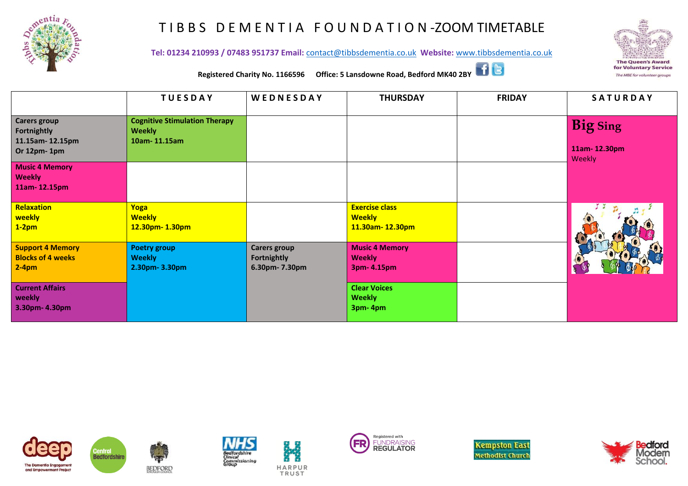

## T I B B S D E M E N T I A F O U N D A T I O N -ZOOM TIMETABLE



**Tel: 01234 210993 / 07483 951737 Email:** [contact@tibbsdementia.co.uk](mailto:contact@tibbsdementia.co.uk) **Website:** [www.tibbsdementia.co.uk](http://www.tibbsdementia.co.uk/)



**Registered Charity No. 1166596 Office: 5 Lansdowne Road, Bedford MK40 2BY**

|                                                                       | <b>TUESDAY</b>                                                        | WEDNESDAY                                                   | <b>THURSDAY</b>                                           | <b>FRIDAY</b> | <b>SATURDAY</b>        |
|-----------------------------------------------------------------------|-----------------------------------------------------------------------|-------------------------------------------------------------|-----------------------------------------------------------|---------------|------------------------|
| <b>Carers group</b><br>Fortnightly<br>11.15am-12.15pm                 | <b>Cognitive Stimulation Therapy</b><br><b>Weekly</b><br>10am-11.15am |                                                             |                                                           |               | <b>Big Sing</b>        |
| Or 12pm-1pm<br><b>Music 4 Memory</b><br><b>Weekly</b><br>11am-12.15pm |                                                                       |                                                             |                                                           |               | 11am-12.30pm<br>Weekly |
| Relaxation<br>weekly<br>$1-2pm$                                       | Yoga<br><b>Weekly</b><br>12.30pm-1.30pm                               |                                                             | <b>Exercise class</b><br><b>Weekly</b><br>11.30am-12.30pm |               |                        |
| <b>Support 4 Memory</b><br><b>Blocks of 4 weeks</b><br>$2-4pm$        | <b>Poetry group</b><br><b>Weekly</b><br>2.30pm-3.30pm                 | <b>Carers group</b><br><b>Fortnightly</b><br>6.30pm- 7.30pm | <b>Music 4 Memory</b><br><b>Weekly</b><br>3pm- 4.15pm     |               |                        |
| <b>Current Affairs</b><br>weekly<br>3.30pm-4.30pm                     |                                                                       |                                                             | <b>Clear Voices</b><br><b>Weekly</b><br>3pm-4pm           |               |                        |